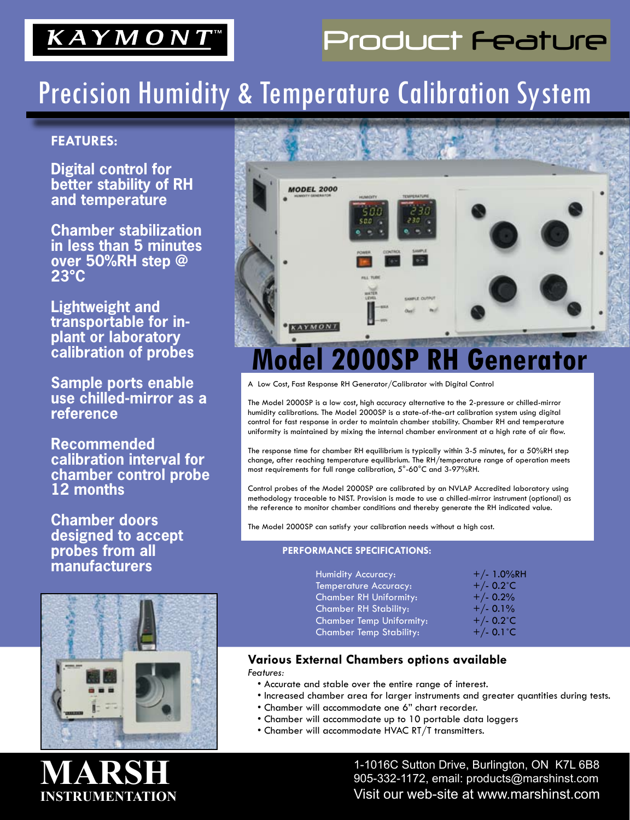## KAYMONT

## Product Feature

## Precision Humidity & Temperature Calibration System

### **FEATURES:**

**Digital control for better stability of RH and temperature**

**Chamber stabilization in less than 5 minutes over 50%RH step @ 23°C**

**Lightweight and transportable for inplant or laboratory calibration of probes**

**Sample ports enable use chilled-mirror as a reference**

**Recommended calibration interval for chamber control probe 12 months** 

**Chamber doors designed to accept probes from all manufacturers**





A Low Cost, Fast Response RH Generator/Calibrator with Digital Control

The Model 2000SP is a low cost, high accuracy alternative to the 2-pressure or chilled-mirror humidity calibrations. The Model 2000SP is a state-of-the-art calibration system using digital control for fast response in order to maintain chamber stability. Chamber RH and temperature uniformity is maintained by mixing the internal chamber environment at a high rate of air flow.

The response time for chamber RH equilibrium is typically within 3-5 minutes, for a 50%RH step change, after reaching temperature equilibrium. The RH/temperature range of operation meets most requirements for full range calibration, 5°-60°C and 3-97%RH.

Control probes of the Model 2000SP are calibrated by an NVLAP Accredited laboratory using methodology traceable to NIST. Provision is made to use a chilled-mirror instrument (optional) as the reference to monitor chamber conditions and thereby generate the RH indicated value.

The Model 2000SP can satisfy your calibration needs without a high cost.

#### **PERFORMANCE SPECIFICATIONS:**

| <b>Humidity Accuracy:</b>       | $+/- 1.0\%$ RH      |
|---------------------------------|---------------------|
| <b>Temperature Accuracy:</b>    | +/- $0.2^{\circ}$ C |
| <b>Chamber RH Uniformity:</b>   | $+/- 0.2%$          |
| <b>Chamber RH Stability:</b>    | $+/- 0.1%$          |
| <b>Chamber Temp Uniformity:</b> | +/- $0.2^{\circ}$ C |
| <b>Chamber Temp Stability:</b>  | $+/- 0.1$ °C        |

#### **Various External Chambers options available** *Features:*

- Accurate and stable over the entire range of interest.
- Increased chamber area for larger instruments and greater quantities during tests.
- Chamber will accommodate one 6" chart recorder.
- Chamber will accommodate up to 10 portable data loggers
- Chamber will accommodate HVAC RT/T transmitters.

1-1016C Sutton Drive, Burlington, ON K7L 6B8  $\begin{array}{l} \textbf{IVLA} \textbf{MOD} \textbf{I} \ \textbf{M} \ \textbf{M} \ \textbf{M} \ \textbf{M} \ \textbf{M} \ \textbf{M} \ \textbf{M} \ \textbf{M} \ \textbf{M} \ \textbf{M} \ \textbf{M} \ \textbf{M} \ \textbf{M} \ \textbf{M} \ \textbf{M} \ \textbf{M} \ \textbf{M} \ \textbf{M} \ \textbf{M} \ \textbf{M} \ \textbf{M} \ \textbf{M} \ \textbf{M} \ \textbf{M} \ \textbf{M} \ \textbf{M} \ \textbf{M} \ \textbf{$ Visit our web-site at www.marshinst.com